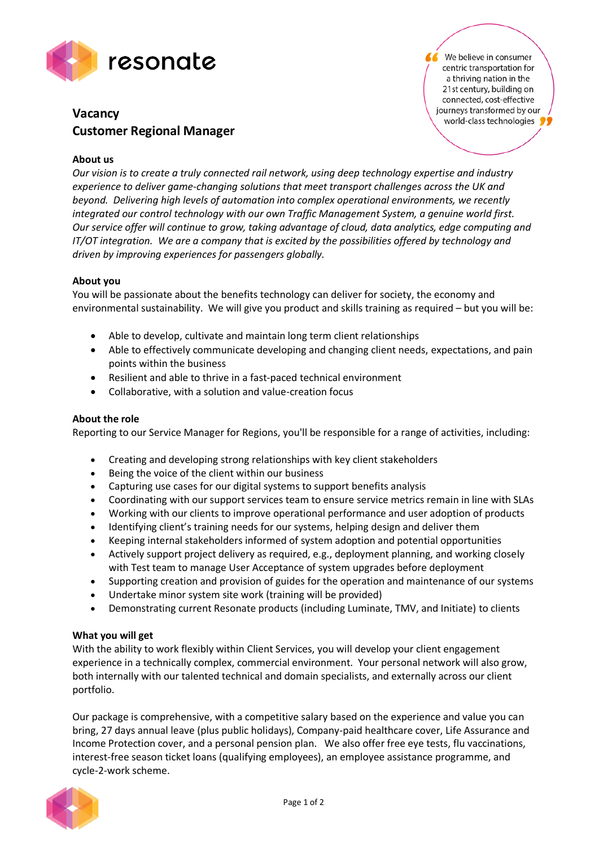

# **Vacancy Customer Regional Manager**

We believe in consumer centric transportation for a thriving nation in the 21st century, building on connected, cost-effective journeys transformed by our world-class technologies

## **About us**

*Our vision is to create a truly connected rail network, using deep technology expertise and industry experience to deliver game-changing solutions that meet transport challenges across the UK and beyond. Delivering high levels of automation into complex operational environments, we recently integrated our control technology with our own Traffic Management System, a genuine world first. Our service offer will continue to grow, taking advantage of cloud, data analytics, edge computing and IT/OT integration. We are a company that is excited by the possibilities offered by technology and driven by improving experiences for passengers globally.*

### **About you**

You will be passionate about the benefits technology can deliver for society, the economy and environmental sustainability. We will give you product and skills training as required – but you will be:

- Able to develop, cultivate and maintain long term client relationships
- Able to effectively communicate developing and changing client needs, expectations, and pain points within the business
- Resilient and able to thrive in a fast-paced technical environment
- Collaborative, with a solution and value-creation focus

### **About the role**

Reporting to our Service Manager for Regions, you'll be responsible for a range of activities, including:

- Creating and developing strong relationships with key client stakeholders
- Being the voice of the client within our business
- Capturing use cases for our digital systems to support benefits analysis
- Coordinating with our support services team to ensure service metrics remain in line with SLAs
- Working with our clients to improve operational performance and user adoption of products
- Identifying client's training needs for our systems, helping design and deliver them
- Keeping internal stakeholders informed of system adoption and potential opportunities
- Actively support project delivery as required, e.g., deployment planning, and working closely with Test team to manage User Acceptance of system upgrades before deployment
- Supporting creation and provision of guides for the operation and maintenance of our systems
- Undertake minor system site work (training will be provided)
- Demonstrating current Resonate products (including Luminate, TMV, and Initiate) to clients

#### **What you will get**

With the ability to work flexibly within Client Services, you will develop your client engagement experience in a technically complex, commercial environment. Your personal network will also grow, both internally with our talented technical and domain specialists, and externally across our client portfolio.

Our package is comprehensive, with a competitive salary based on the experience and value you can bring, 27 days annual leave (plus public holidays), Company-paid healthcare cover, Life Assurance and Income Protection cover, and a personal pension plan. We also offer free eye tests, flu vaccinations, interest-free season ticket loans (qualifying employees), an employee assistance programme, and cycle-2-work scheme.